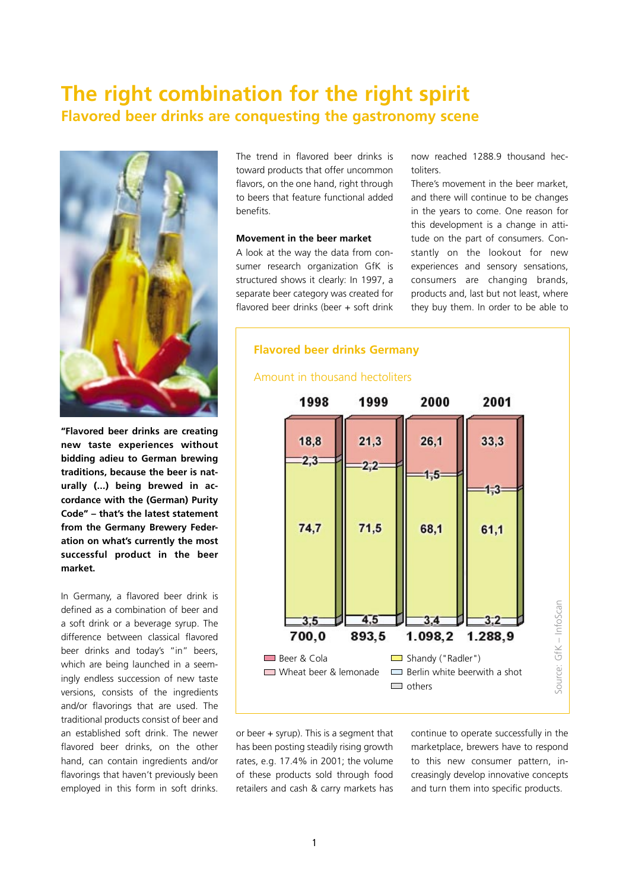# **The right combination for the right spirit Flavored beer drinks are conquesting the gastronomy scene**



**"Flavored beer drinks are creating new taste experiences without bidding adieu to German brewing traditions, because the beer is naturally (...) being brewed in accordance with the (German) Purity Code" – that's the latest statement from the Germany Brewery Federation on what's currently the most successful product in the beer market.** 

In Germany, a flavored beer drink is defined as a combination of beer and a soft drink or a beverage syrup. The difference between classical flavored beer drinks and today's "in" beers, which are being launched in a seemingly endless succession of new taste versions, consists of the ingredients and/or flavorings that are used. The traditional products consist of beer and an established soft drink. The newer flavored beer drinks, on the other hand, can contain ingredients and/or flavorings that haven't previously been employed in this form in soft drinks.

The trend in flavored beer drinks is toward products that offer uncommon flavors, on the one hand, right through to beers that feature functional added benefits.

## **Movement in the beer market**

A look at the way the data from consumer research organization GfK is structured shows it clearly: In 1997, a separate beer category was created for flavored beer drinks (beer + soft drink now reached 1288.9 thousand hectoliters.

There's movement in the beer market, and there will continue to be changes in the years to come. One reason for this development is a change in attitude on the part of consumers. Constantly on the lookout for new experiences and sensory sensations, consumers are changing brands, products and, last but not least, where they buy them. In order to be able to



or beer + syrup). This is a segment that has been posting steadily rising growth rates, e.g. 17.4% in 2001; the volume of these products sold through food retailers and cash & carry markets has continue to operate successfully in the marketplace, brewers have to respond to this new consumer pattern, increasingly develop innovative concepts and turn them into specific products.